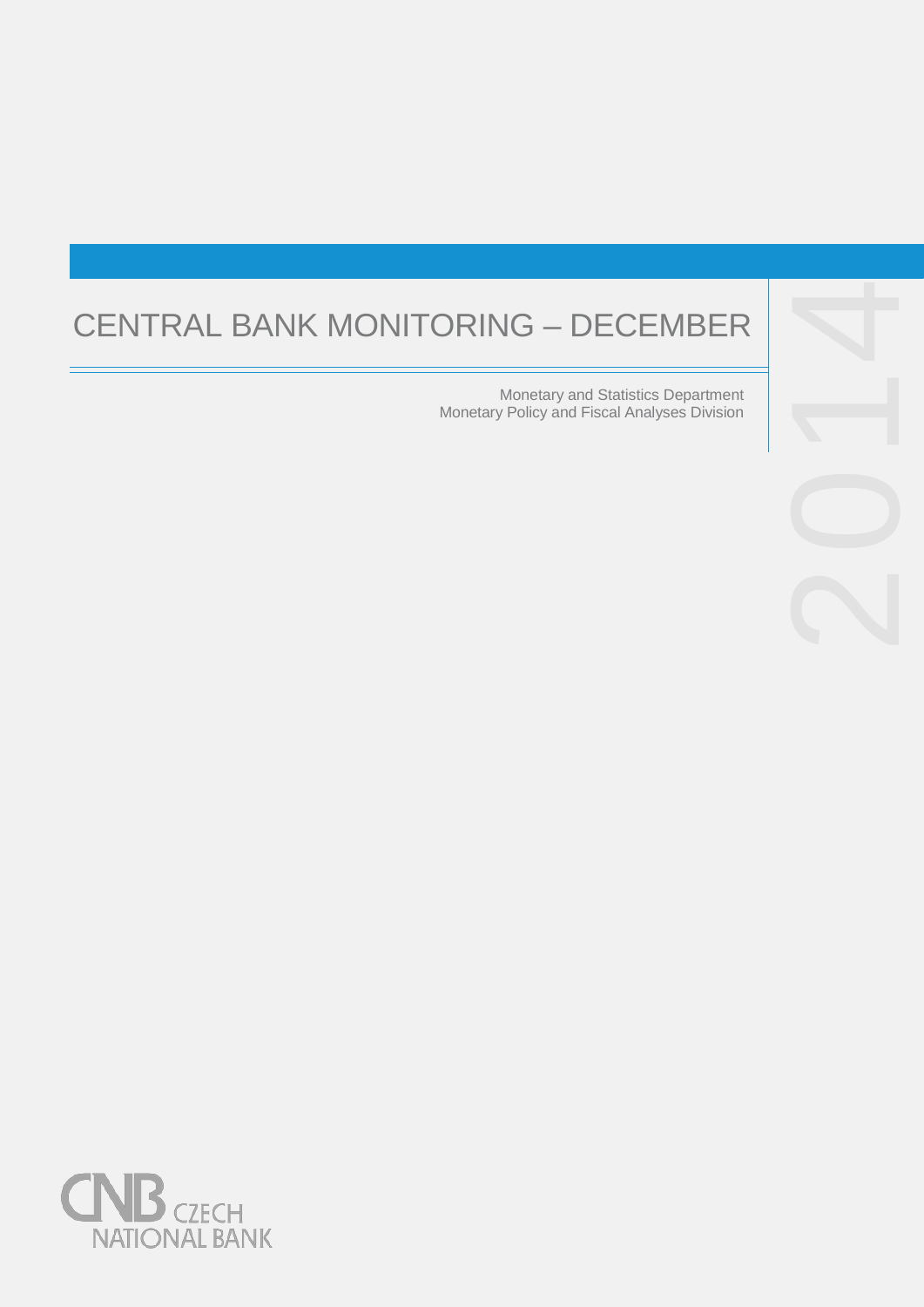# CENTRAL BANK MONITORING

Monetary and Statistics Department Monetary Policy and Fiscal Analyses Division



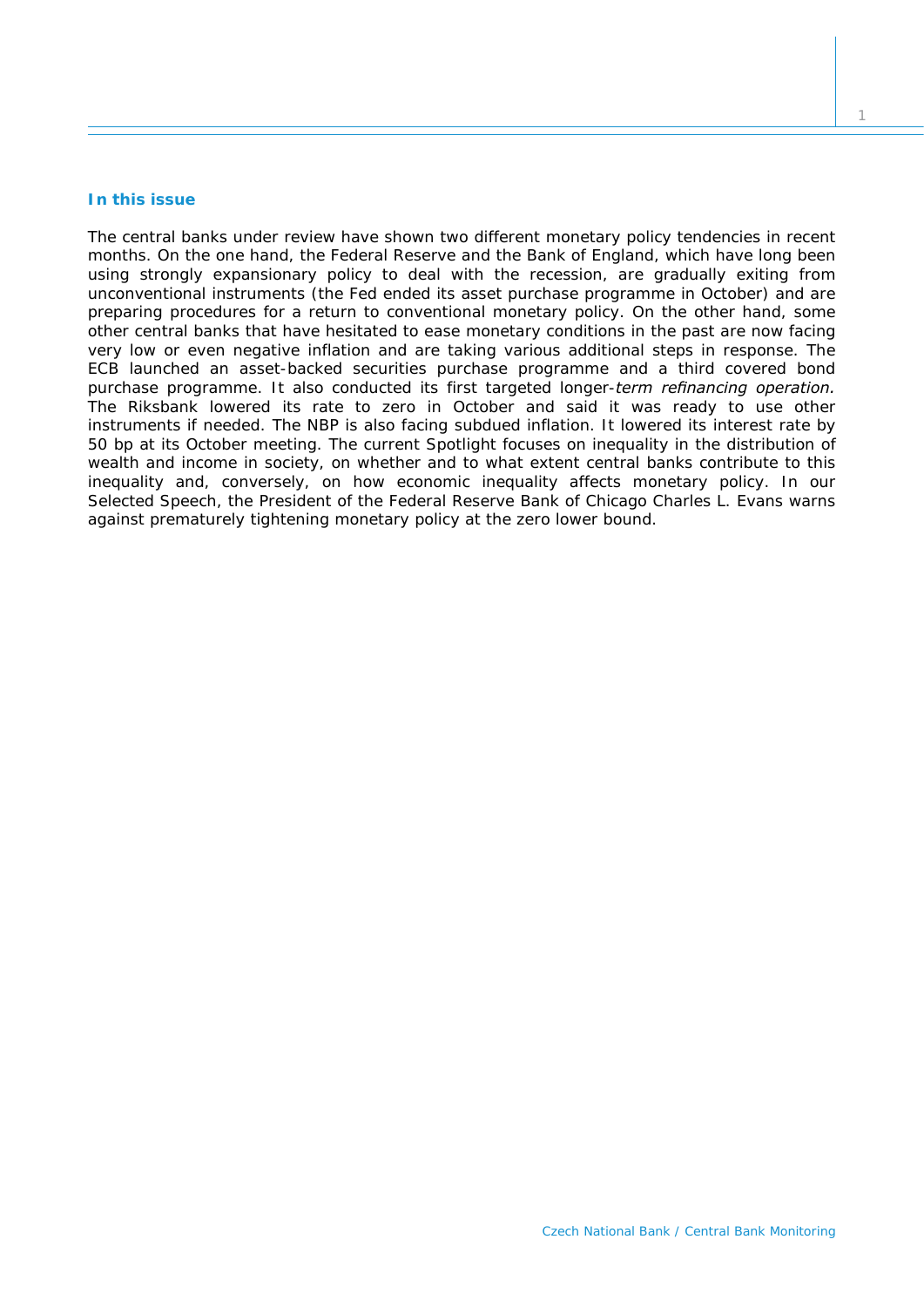# **In this issue**

*The central banks under review have shown two different monetary policy tendencies in recent months. On the one hand, the Federal Reserve and the Bank of England, which have long been using strongly expansionary policy to deal with the recession, are gradually exiting from unconventional instruments (the Fed ended its asset purchase programme in October) and are preparing procedures for a return to conventional monetary policy. On the other hand, some other central banks that have hesitated to ease monetary conditions in the past are now facing very low or even negative inflation and are taking various additional steps in response. The ECB launched an asset-backed securities purchase programme and a third covered bond purchase programme. It also conducted its first targeted longer-term refinancing operation. The Riksbank lowered its rate to zero in October and said it was ready to use other instruments if needed. The NBP is also facing subdued inflation. It lowered its interest rate by 50 bp at its October meeting. The current* Spotlight *focuses on inequality in the distribution of wealth and income in society, on whether and to what extent central banks contribute to this inequality and, conversely, on how economic inequality affects monetary policy. In our*  Selected Speech*, the President of the Federal Reserve Bank of Chicago Charles L. Evans warns against prematurely tightening monetary policy at the zero lower bound.*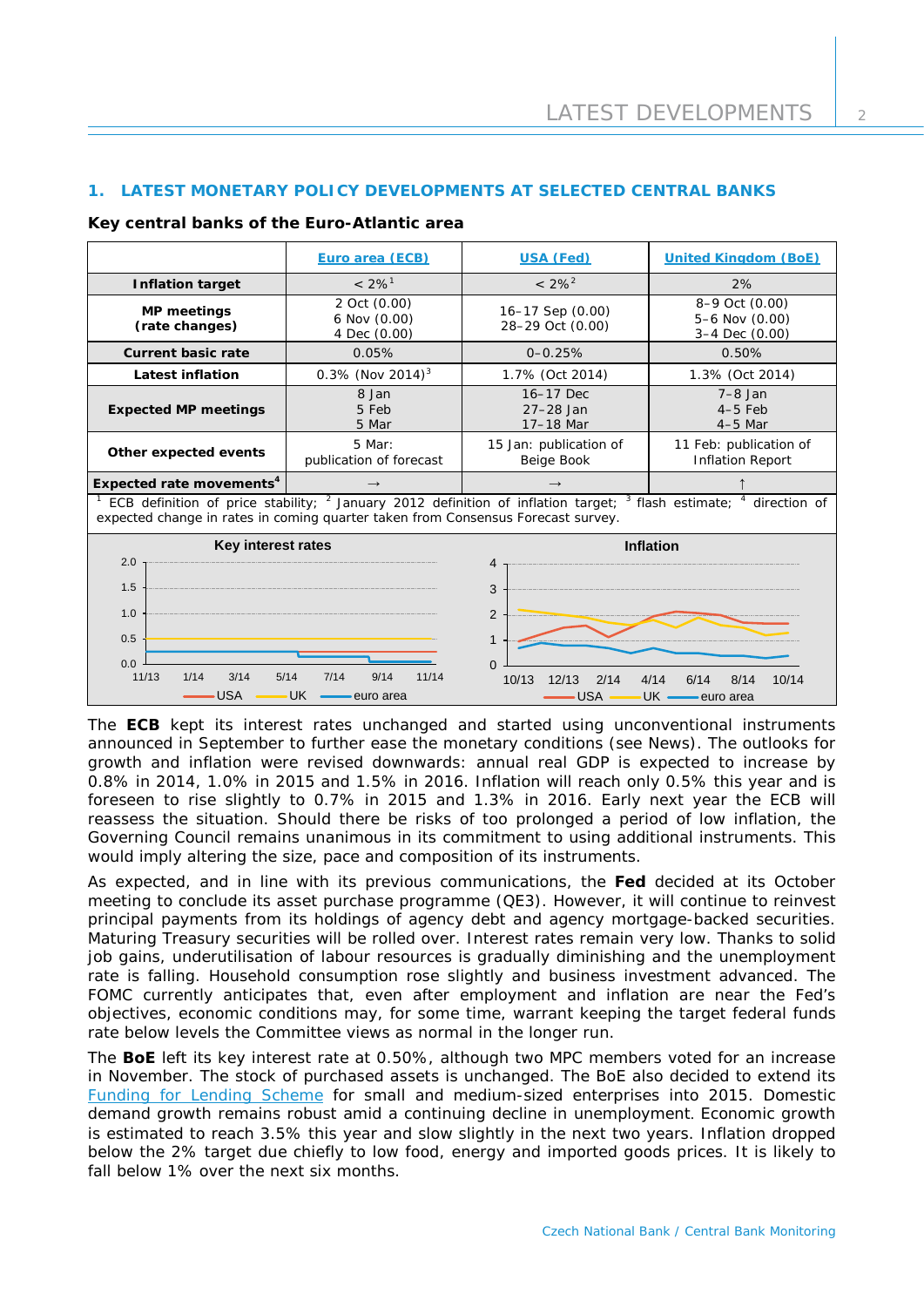# **1. LATEST MONETARY POLICY DEVELOPMENTS AT SELECTED CENTRAL BANKS**

## **Key central banks of the Euro-Atlantic area**

|                                                                                                                                                                                                                                                                                                        | Euro area (ECB)                              | <b>USA (Fed)</b>                        | <b>United Kingdom (BoE)</b>                        |  |  |
|--------------------------------------------------------------------------------------------------------------------------------------------------------------------------------------------------------------------------------------------------------------------------------------------------------|----------------------------------------------|-----------------------------------------|----------------------------------------------------|--|--|
| <b>Inflation target</b>                                                                                                                                                                                                                                                                                | $< 2\%$ <sup>1</sup>                         | $< 2\%^2$                               | 2%                                                 |  |  |
| <b>MP</b> meetings<br>(rate changes)                                                                                                                                                                                                                                                                   | 2 Oct (0.00)<br>6 Nov (0.00)<br>4 Dec (0.00) | 16-17 Sep (0.00)<br>28-29 Oct (0.00)    | 8-9 Oct (0.00)<br>5-6 Nov (0.00)<br>3-4 Dec (0.00) |  |  |
| <b>Current basic rate</b>                                                                                                                                                                                                                                                                              | 0.05%                                        | $0 - 0.25%$                             | 0.50%                                              |  |  |
| <b>Latest inflation</b>                                                                                                                                                                                                                                                                                | $0.3\%$ (Nov 2014) <sup>3</sup>              | 1.7% (Oct 2014)                         | 1.3% (Oct 2014)                                    |  |  |
| <b>Expected MP meetings</b>                                                                                                                                                                                                                                                                            | 8 Jan<br>5 Feb<br>5 Mar                      | 16-17 Dec<br>$27 - 28$ Jan<br>17-18 Mar | $7-8$ Jan<br>$4-5$ Feb<br>$4-5$ Mar                |  |  |
| Other expected events                                                                                                                                                                                                                                                                                  | 5 Mar:<br>publication of forecast            | 15 Jan: publication of<br>Beige Book    | 11 Feb: publication of<br><b>Inflation Report</b>  |  |  |
| Expected rate movements <sup>4</sup>                                                                                                                                                                                                                                                                   | $\rightarrow$                                | $\rightarrow$                           |                                                    |  |  |
| ECB definition of price stability; <sup>2</sup> January 2012 definition of inflation target;<br>$3$ flash estimate; $4$<br>direction of<br>expected change in rates in coming quarter taken from Consensus Forecast survey.                                                                            |                                              |                                         |                                                    |  |  |
| Key interest rates<br><b>Inflation</b><br>2.0<br>4<br>1.5<br>3<br>1.0<br>2<br>0.5<br>$\mathbf{1}$<br>0.0<br>$\Omega$<br>11/13<br>1/14<br>3/14<br>5/14<br>7/14<br>9/14<br>11/14<br>10/13<br>12/13<br>2/14<br>4/14<br>10/14<br>6/14<br>8/14<br>USA<br><b>USA</b><br>UK.<br>UK.<br>euro area<br>euro area |                                              |                                         |                                                    |  |  |

The **ECB** kept its interest rates unchanged and started using unconventional instruments announced in September to further ease the monetary conditions (see *News*). The outlooks for growth and inflation were revised downwards: annual real GDP is expected to increase by 0.8% in 2014, 1.0% in 2015 and 1.5% in 2016. Inflation will reach only 0.5% this year and is foreseen to rise slightly to 0.7% in 2015 and 1.3% in 2016. Early next year the ECB will reassess the situation. Should there be risks of too prolonged a period of low inflation, the Governing Council remains unanimous in its commitment to using additional instruments. This would imply altering the size, pace and composition of its instruments.

As expected, and in line with its previous communications, the **Fed** decided at its October meeting to conclude its asset purchase programme (QE3). However, it will continue to reinvest principal payments from its holdings of agency debt and agency mortgage-backed securities. Maturing Treasury securities will be rolled over. Interest rates remain very low. Thanks to solid job gains, underutilisation of labour resources is gradually diminishing and the unemployment rate is falling. Household consumption rose slightly and business investment advanced. The FOMC currently anticipates that, even after employment and inflation are near the Fed's objectives, economic conditions may, for some time, warrant keeping the target federal funds rate below levels the Committee views as normal in the longer run.

The **BoE** left its key interest rate at 0.50%, although two MPC members voted for an increase in November. The stock of purchased assets is unchanged. The BoE also decided to extend its [Funding for Lending Scheme](http://www.bankofengland.co.uk/publications/Pages/news/2014/165.aspx) for small and medium-sized enterprises into 2015. Domestic demand growth remains robust amid a continuing decline in unemployment. Economic growth is estimated to reach 3.5% this year and slow slightly in the next two years. Inflation dropped below the 2% target due chiefly to low food, energy and imported goods prices. It is likely to fall below 1% over the next six months.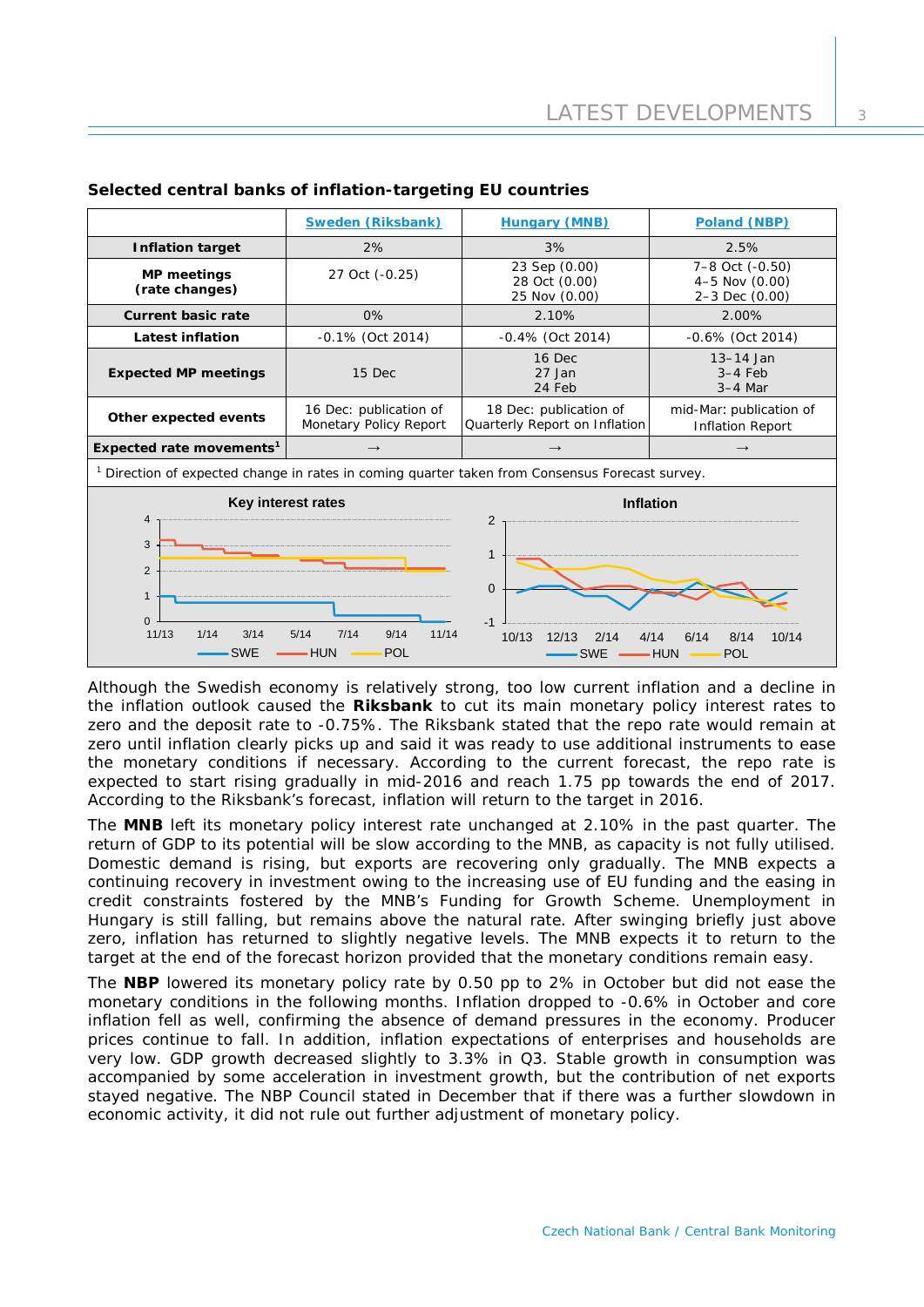|                                                                                                                                                                                                                                                                                                                                 | Sweden (Riksbank)                                | <b>Hungary (MNB)</b>                                    | Poland (NBP)                                            |  |  |
|---------------------------------------------------------------------------------------------------------------------------------------------------------------------------------------------------------------------------------------------------------------------------------------------------------------------------------|--------------------------------------------------|---------------------------------------------------------|---------------------------------------------------------|--|--|
| <b>Inflation target</b>                                                                                                                                                                                                                                                                                                         | 2%                                               | 3%                                                      | 2.5%                                                    |  |  |
| <b>MP</b> meetings<br>(rate changes)                                                                                                                                                                                                                                                                                            | 27 Oct (-0.25)                                   | 23 Sep (0.00)<br>28 Oct (0.00)<br>25 Nov (0.00)         | 7-8 Oct (-0.50)<br>$4-5$ Nov $(0.00)$<br>2-3 Dec (0.00) |  |  |
| <b>Current basic rate</b>                                                                                                                                                                                                                                                                                                       | 0%                                               | 2.10%                                                   | 2.00%                                                   |  |  |
| <b>Latest inflation</b>                                                                                                                                                                                                                                                                                                         | $-0.1\%$ (Oct 2014)                              | $-0.4\%$ (Oct 2014)                                     | $-0.6\%$ (Oct 2014)                                     |  |  |
| <b>Expected MP meetings</b>                                                                                                                                                                                                                                                                                                     | 15 Dec                                           | 16 Dec<br>27 Jan<br>24 Feb                              | $13-14$ Jan<br>$3-4$ Feb<br>$3-4$ Mar                   |  |  |
| Other expected events                                                                                                                                                                                                                                                                                                           | 16 Dec: publication of<br>Monetary Policy Report | 18 Dec: publication of<br>Quarterly Report on Inflation | mid-Mar: publication of<br><b>Inflation Report</b>      |  |  |
| Expected rate movements <sup>1</sup>                                                                                                                                                                                                                                                                                            |                                                  |                                                         | $\rightarrow$                                           |  |  |
| <sup>1</sup> Direction of expected change in rates in coming quarter taken from Consensus Forecast survey.                                                                                                                                                                                                                      |                                                  |                                                         |                                                         |  |  |
| Key interest rates<br><b>Inflation</b><br>4<br>2<br>3<br>$\mathbf{1}$<br>$\overline{2}$<br>$\overline{0}$<br>$\mathbf{1}$<br>$\Omega$<br>$-1$<br>11/13<br>1/14<br>7/14<br>11/14<br>3/14<br>5/14<br>9/14<br>10/13<br>12/13<br>2/14<br>4/14<br>6/14<br>8/14<br><b>SWE</b><br><b>HUN</b><br>POL<br><b>HUN</b><br><b>SWE</b><br>POL |                                                  |                                                         | 10/14                                                   |  |  |

## **Selected central banks of inflation-targeting EU countries**

Although the Swedish economy is relatively strong, too low current inflation and a decline in the inflation outlook caused the **Riksbank** to cut its main monetary policy interest rates to zero and the deposit rate to -0.75%. The Riksbank stated that the repo rate would remain at zero until inflation clearly picks up and said it was ready to use additional instruments to ease the monetary conditions if necessary. According to the current forecast, the repo rate is expected to start rising gradually in mid-2016 and reach 1.75 pp towards the end of 2017. According to the Riksbank's forecast, inflation will return to the target in 2016.

The **MNB** left its monetary policy interest rate unchanged at 2.10% in the past quarter. The return of GDP to its potential will be slow according to the MNB, as capacity is not fully utilised. Domestic demand is rising, but exports are recovering only gradually. The MNB expects a continuing recovery in investment owing to the increasing use of EU funding and the easing in credit constraints fostered by the MNB's Funding for Growth Scheme. Unemployment in Hungary is still falling, but remains above the natural rate. After swinging briefly just above zero, inflation has returned to slightly negative levels. The MNB expects it to return to the target at the end of the forecast horizon provided that the monetary conditions remain easy.

The **NBP** lowered its monetary policy rate by 0.50 pp to 2% in October but did not ease the monetary conditions in the following months. Inflation dropped to -0.6% in October and core inflation fell as well, confirming the absence of demand pressures in the economy. Producer prices continue to fall. In addition, inflation expectations of enterprises and households are very low. GDP growth decreased slightly to 3.3% in Q3. Stable growth in consumption was accompanied by some acceleration in investment growth, but the contribution of net exports stayed negative. The NBP Council stated in December that if there was a further slowdown in economic activity, it did not rule out further adjustment of monetary policy.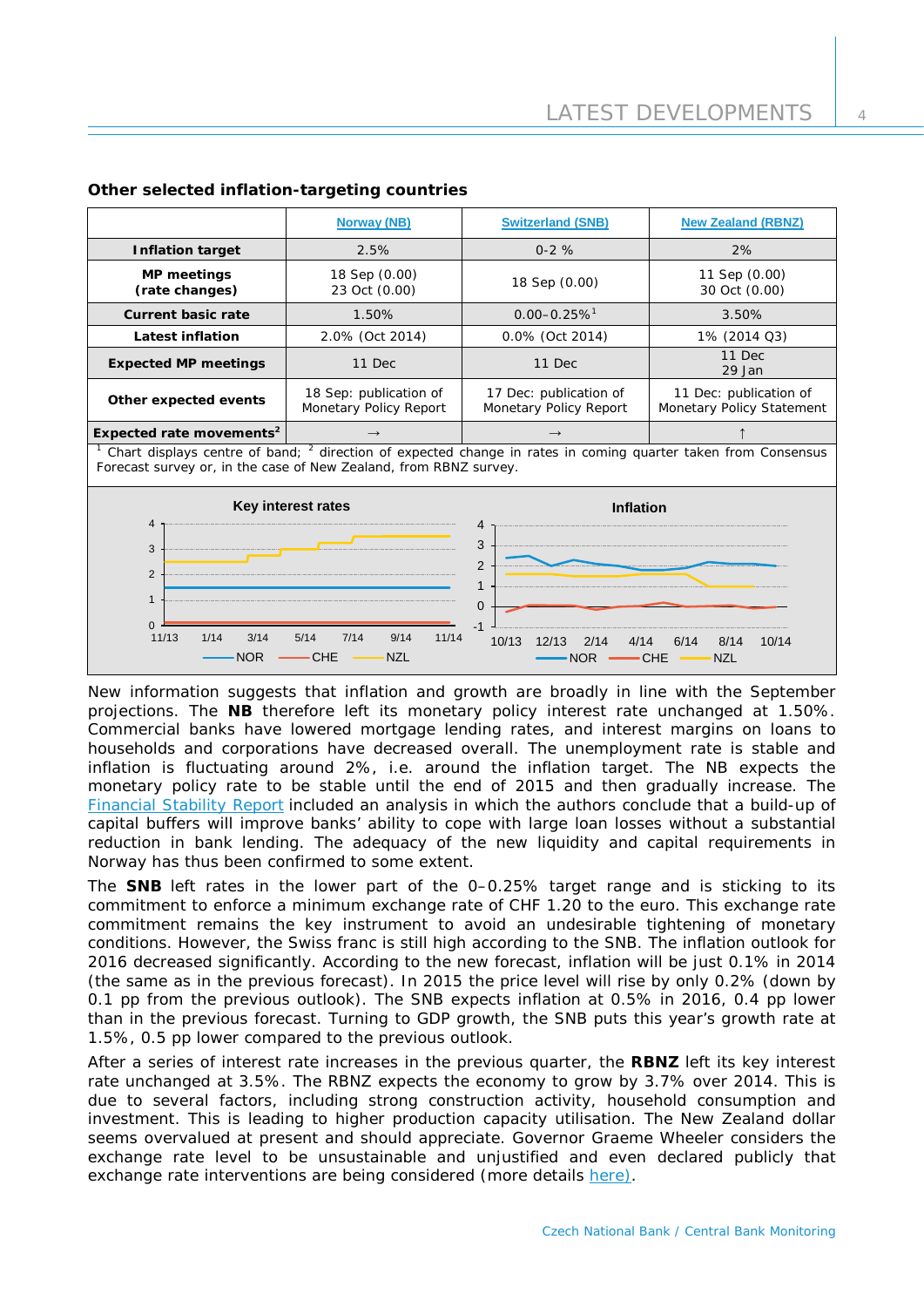|                                                                                                                                                                                          | <b>Norway (NB)</b>                               | <b>Switzerland (SNB)</b>                         | <b>New Zealand (RBNZ)</b>                           |  |
|------------------------------------------------------------------------------------------------------------------------------------------------------------------------------------------|--------------------------------------------------|--------------------------------------------------|-----------------------------------------------------|--|
| <b>Inflation target</b>                                                                                                                                                                  | 2.5%                                             | $0-2%$                                           | 2%                                                  |  |
| <b>MP</b> meetings<br>(rate changes)                                                                                                                                                     | 18 Sep (0.00)<br>23 Oct (0.00)                   | 18 Sep (0.00)                                    | 11 Sep (0.00)<br>30 Oct (0.00)                      |  |
| <b>Current basic rate</b>                                                                                                                                                                | 1.50%                                            | $0.00 - 0.25 \%$ <sup>1</sup>                    | 3.50%                                               |  |
| Latest inflation                                                                                                                                                                         | 2.0% (Oct 2014)                                  | 0.0% (Oct 2014)                                  | 1% (2014 Q3)                                        |  |
| <b>Expected MP meetings</b>                                                                                                                                                              | 11 Dec                                           | 11 Dec                                           | 11 Dec<br>29 Jan                                    |  |
| Other expected events                                                                                                                                                                    | 18 Sep: publication of<br>Monetary Policy Report | 17 Dec: publication of<br>Monetary Policy Report | 11 Dec: publication of<br>Monetary Policy Statement |  |
| Expected rate movements <sup>2</sup>                                                                                                                                                     | $\rightarrow$                                    | $\rightarrow$                                    |                                                     |  |
| $1$ Chart displays centre of band; $2$ direction of expected change in rates in coming quarter taken from Consensus<br>Forecast survey or, in the case of New Zealand, from RBNZ survey. |                                                  |                                                  |                                                     |  |

## **Other selected inflation-targeting countries**

 $0 \frac{1}{11/13}$ 1 2 3 4 11/13 1/14 3/14 5/14 7/14 9/14 11/14 **Key interest rates** NOR - CHE - NZL  $-1$ 0 1 2 3 4 10/13 12/13 2/14 4/14 6/14 8/14 10/14 **Inflation**  $NOR$   $\longrightarrow$  CHE  $\longrightarrow$  NZL

New information suggests that inflation and growth are broadly in line with the September projections. The **NB** therefore left its monetary policy interest rate unchanged at 1.50%. Commercial banks have lowered mortgage lending rates, and interest margins on loans to households and corporations have decreased overall. The unemployment rate is stable and inflation is fluctuating around 2%, i.e. around the inflation target. The NB expects the monetary policy rate to be stable until the end of 2015 and then gradually increase. The [Financial Stability Report](http://www.norges-bank.no/en/Published/Publications/Financial-Stability-report/Financial-stability-2014/) included an analysis in which the authors conclude that a build-up of capital buffers will improve banks' ability to cope with large loan losses without a substantial reduction in bank lending. The adequacy of the new liquidity and capital requirements in Norway has thus been confirmed to some extent.

The **SNB** left rates in the lower part of the 0–0.25% target range and is sticking to its commitment to enforce a minimum exchange rate of CHF 1.20 to the euro. This exchange rate commitment remains the key instrument to avoid an undesirable tightening of monetary conditions. However, the Swiss franc is still high according to the SNB. The inflation outlook for 2016 decreased significantly. According to the new forecast, inflation will be just 0.1% in 2014 (the same as in the previous forecast). In 2015 the price level will rise by only 0.2% (down by 0.1 pp from the previous outlook). The SNB expects inflation at 0.5% in 2016, 0.4 pp lower than in the previous forecast. Turning to GDP growth, the SNB puts this year's growth rate at 1.5%, 0.5 pp lower compared to the previous outlook.

After a series of interest rate increases in the previous quarter, the **RBNZ** left its key interest rate unchanged at 3.5%. The RBNZ expects the economy to grow by 3.7% over 2014. This is due to several factors, including strong construction activity, household consumption and investment. This is leading to higher production capacity utilisation. The New Zealand dollar seems overvalued at present and should appreciate. Governor Graeme Wheeler considers the exchange rate level to be unsustainable and unjustified and even declared publicly that exchange rate interventions are being considered (more details [here\)](http://www.rbnz.govt.nz/news/2014/5881817.html).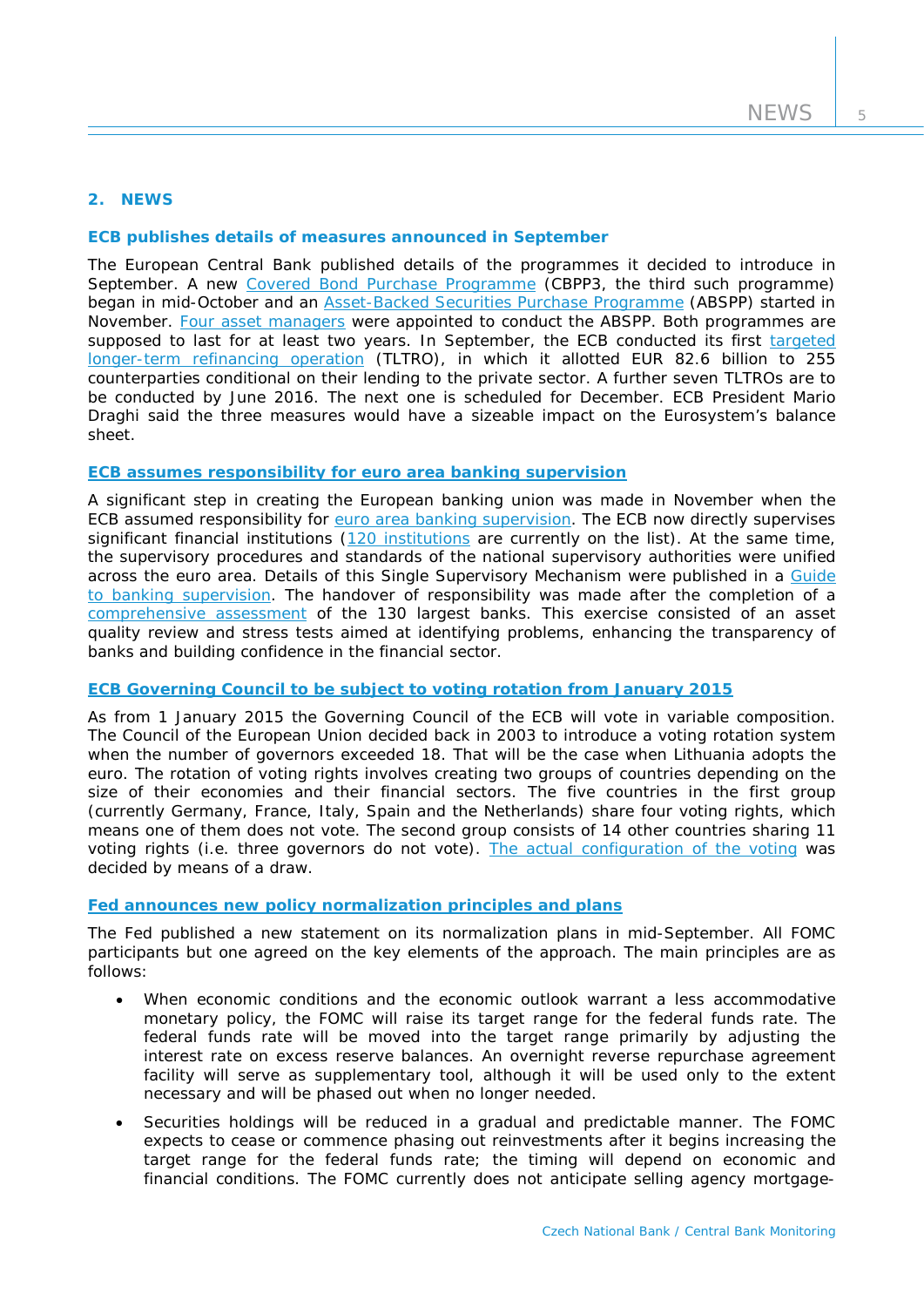# **2. NEWS**

# **ECB publishes details of measures announced in September**

The European Central Bank published details of the programmes it decided to introduce in September. A new [Covered Bond Purchase Programme](http://www.ecb.europa.eu/press/pr/date/2014/html/pr141002_1_Annex_2.pdf?0ba2a520b8a2b7ad8ff6bfb99333ba25) (CBPP3, the third such programme) began in mid-October and an **Asset-Backed Securities Purchase Programme** (ABSPP) started in November. [Four asset managers](https://www.ecb.europa.eu/press/pr/date/2014/html/pr141030_1.en.html) were appointed to conduct the ABSPP. Both programmes are supposed to last for at least two years. In September, the ECB conducted its first [targeted](http://www.ecb.europa.eu/press/pr/date/2014/html/pr140918_1.en.html)  [longer-term refinancing operation](http://www.ecb.europa.eu/press/pr/date/2014/html/pr140918_1.en.html) (TLTRO), in which it allotted EUR 82.6 billion to 255 counterparties conditional on their lending to the private sector. A further seven TLTROs are to be conducted by June 2016. The next one is scheduled for December. ECB President Mario Draghi said the three measures would have a sizeable impact on the Eurosystem's balance sheet.

# **[ECB assumes responsibility for euro area banking supervision](https://www.ecb.europa.eu/press/pr/date/2014/html/pr141104.en.html)**

A significant step in creating the European banking union was made in November when the ECB assumed responsibility for [euro area banking supervision.](https://www.bankingsupervision.europa.eu/) The ECB now directly supervises significant financial institutions [\(120 institutions](https://www.bankingsupervision.europa.eu/ecb/pub/pdf/ssm-listofsupervisedentities1409en.pdf?59d76de0c5663687f594250ebf228c6b) are currently on the list). At the same time, the supervisory procedures and standards of the national supervisory authorities were unified across the euro area. Details of this Single Supervisory Mechanism were published in a Guide [to banking supervision.](http://www.ecb.europa.eu/pub/pdf/other/ssmguidebankingsupervision201411.en.pdf) The handover of responsibility was made after the completion of a [comprehensive assessment](https://www.bankingsupervision.europa.eu/ecb/pub/pdf/aggregatereportonthecomprehensiveassessment201410.en.pdf) of the 130 largest banks. This exercise consisted of an asset quality review and stress tests aimed at identifying problems, enhancing the transparency of banks and building confidence in the financial sector.

# **[ECB Governing Council to be subject to voting rotation from January 2015](http://www.ecb.europa.eu/press/pr/date/2014/html/pr140918.en.html)**

As from 1 January 2015 the Governing Council of the ECB will vote in variable composition. The Council of the European Union decided back in 2003 to introduce a voting rotation system when the number of governors exceeded 18. That will be the case when Lithuania adopts the euro. The rotation of voting rights involves creating two groups of countries depending on the size of their economies and their financial sectors. The five countries in the first group (currently Germany, France, Italy, Spain and the Netherlands) share four voting rights, which means one of them does not vote. The second group consists of 14 other countries sharing 11 voting rights (i.e. three governors do not vote). [The actual configuration of the voting](http://www.ecb.europa.eu/ecb/orga/decisions/govc/html/votingrights.en.html) was decided by means of a draw.

## **[Fed announces new policy normalization principles and plans](http://www.federalreserve.gov/newsevents/press/monetary/20140917c.htm)**

The Fed published a new statement on its normalization plans in mid-September. All FOMC participants but one agreed on the key elements of the approach. The main principles are as follows:

- When economic conditions and the economic outlook warrant a less accommodative monetary policy, the FOMC will raise its target range for the federal funds rate. The federal funds rate will be moved into the target range primarily by adjusting the interest rate on excess reserve balances. An overnight reverse repurchase agreement facility will serve as supplementary tool, although it will be used only to the extent necessary and will be phased out when no longer needed.
- Securities holdings will be reduced in a gradual and predictable manner. The FOMC expects to cease or commence phasing out reinvestments after it begins increasing the target range for the federal funds rate; the timing will depend on economic and financial conditions. The FOMC currently does not anticipate selling agency mortgage-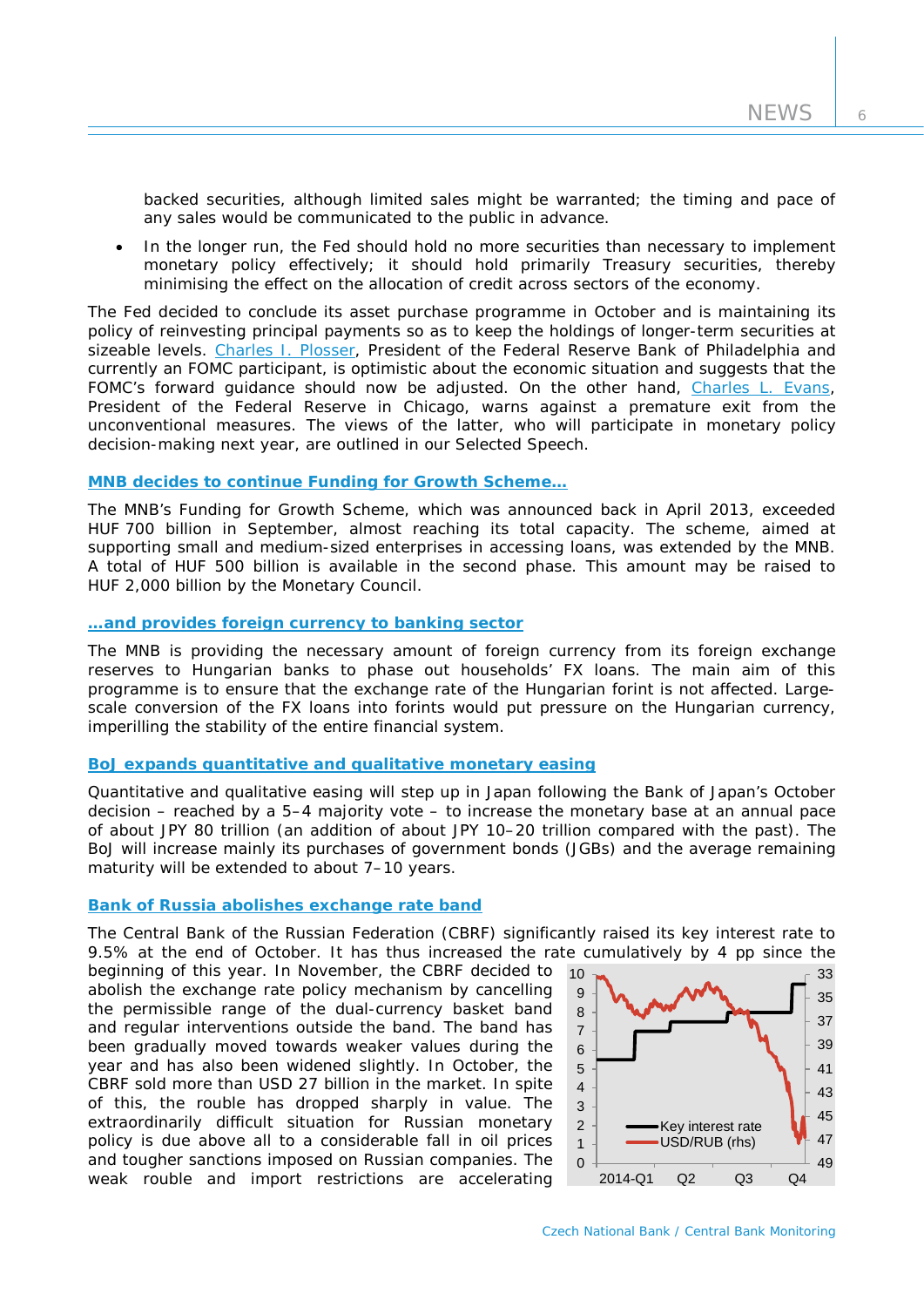backed securities, although limited sales might be warranted; the timing and pace of any sales would be communicated to the public in advance.

In the longer run, the Fed should hold no more securities than necessary to implement monetary policy effectively; it should hold primarily Treasury securities, thereby minimising the effect on the allocation of credit across sectors of the economy.

The Fed decided to conclude its asset purchase programme in October and is maintaining its policy of reinvesting principal payments so as to keep the holdings of longer-term securities at sizeable levels. [Charles I. Plosser,](http://www.bis.org/review/r141113g.pdf) President of the Federal Reserve Bank of Philadelphia and currently an FOMC participant, is optimistic about the economic situation and suggests that the FOMC's forward guidance should now be adjusted. On the other hand, [Charles L. Evans,](http://www.bis.org/review/r141009a.pdf) President of the Federal Reserve in Chicago, warns against a premature exit from the unconventional measures. The views of the latter, who will participate in monetary policy decision-making next year, are outlined in our *Selected Speech*.

#### **[MNB decides to continue Funding for Growth Scheme…](http://english.mnb.hu/Monetaris_politika/funding_for_growth_scheme)**

The MNB's Funding for Growth Scheme, which was announced back in April 2013, exceeded HUF 700 billion in September, almost reaching its total capacity. The scheme, aimed at supporting small and medium-sized enterprises in accessing loans, was extended by the MNB. A total of HUF 500 billion is available in the second phase. This amount may be raised to HUF 2,000 billion by the Monetary Council.

# **[…and provides foreign currency to banking sector](http://english.mnb.hu/mnben_pressroom/press_releases/mnben_pressreleases_2014/mnben_pressrelease_20140924)**

The MNB is providing the necessary amount of foreign currency from its foreign exchange reserves to Hungarian banks to phase out households' FX loans. The main aim of this programme is to ensure that the exchange rate of the Hungarian forint is not affected. Largescale conversion of the FX loans into forints would put pressure on the Hungarian currency, imperilling the stability of the entire financial system.

## **[BoJ expands quantitative and qualitative monetary easing](http://www.boj.or.jp/en/announcements/release_2014/k141031a.pdf)**

Quantitative and qualitative easing will step up in Japan following the Bank of Japan's October decision – reached by a 5–4 majority vote – to increase the monetary base at an annual pace of about JPY 80 trillion (an addition of about JPY 10–20 trillion compared with the past). The BoJ will increase mainly its purchases of government bonds (JGBs) and the average remaining maturity will be extended to about 7–10 years.

## **[Bank of Russia abolishes exchange rate band](http://www.cbr.ru/eng/press/PR.aspx?file=10112014_122958eng_dkp2014-11-10T12_26_04.htm)**

The Central Bank of the Russian Federation (CBRF) significantly raised its key interest rate to 9.5% at the end of October. It has thus increased the rate cumulatively by 4 pp since the

beginning of this year. In November, the CBRF decided to abolish the exchange rate policy mechanism by cancelling the permissible range of the dual-currency basket band and regular interventions outside the band. The band has been gradually moved towards weaker values during the year and has also been widened slightly. In October, the CBRF sold more than USD 27 billion in the market. In spite of this, the rouble has dropped sharply in value. The extraordinarily difficult situation for Russian monetary policy is due above all to a considerable fall in oil prices and tougher sanctions imposed on Russian companies. The weak rouble and import restrictions are accelerating

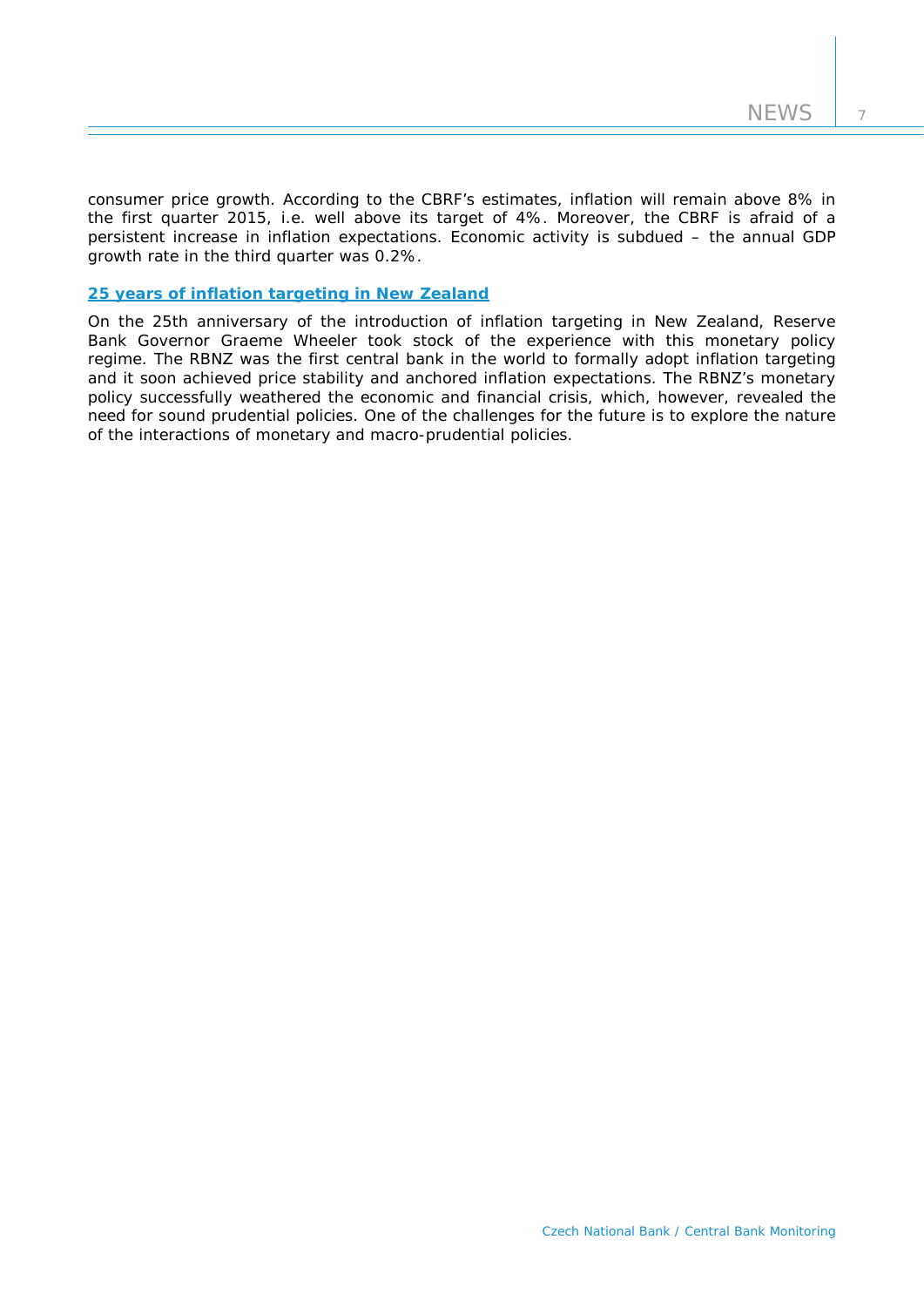consumer price growth. According to the CBRF's estimates, inflation will remain above 8% in the first quarter 2015, i.e. well above its target of 4%. Moreover, the CBRF is afraid of a persistent increase in inflation expectations. Economic activity is subdued – the annual GDP growth rate in the third quarter was 0.2%.

## **[25 years of inflation targeting in New Zealand](http://www.rbnz.govt.nz/research_and_publications/speeches/2014/5947979.html)**

On the 25th anniversary of the introduction of inflation targeting in New Zealand, Reserve Bank Governor Graeme Wheeler took stock of the experience with this monetary policy regime. The RBNZ was the first central bank in the world to formally adopt inflation targeting and it soon achieved price stability and anchored inflation expectations. The RBNZ's monetary policy successfully weathered the economic and financial crisis, which, however, revealed the need for sound prudential policies. One of the challenges for the future is to explore the nature of the interactions of monetary and macro-prudential policies.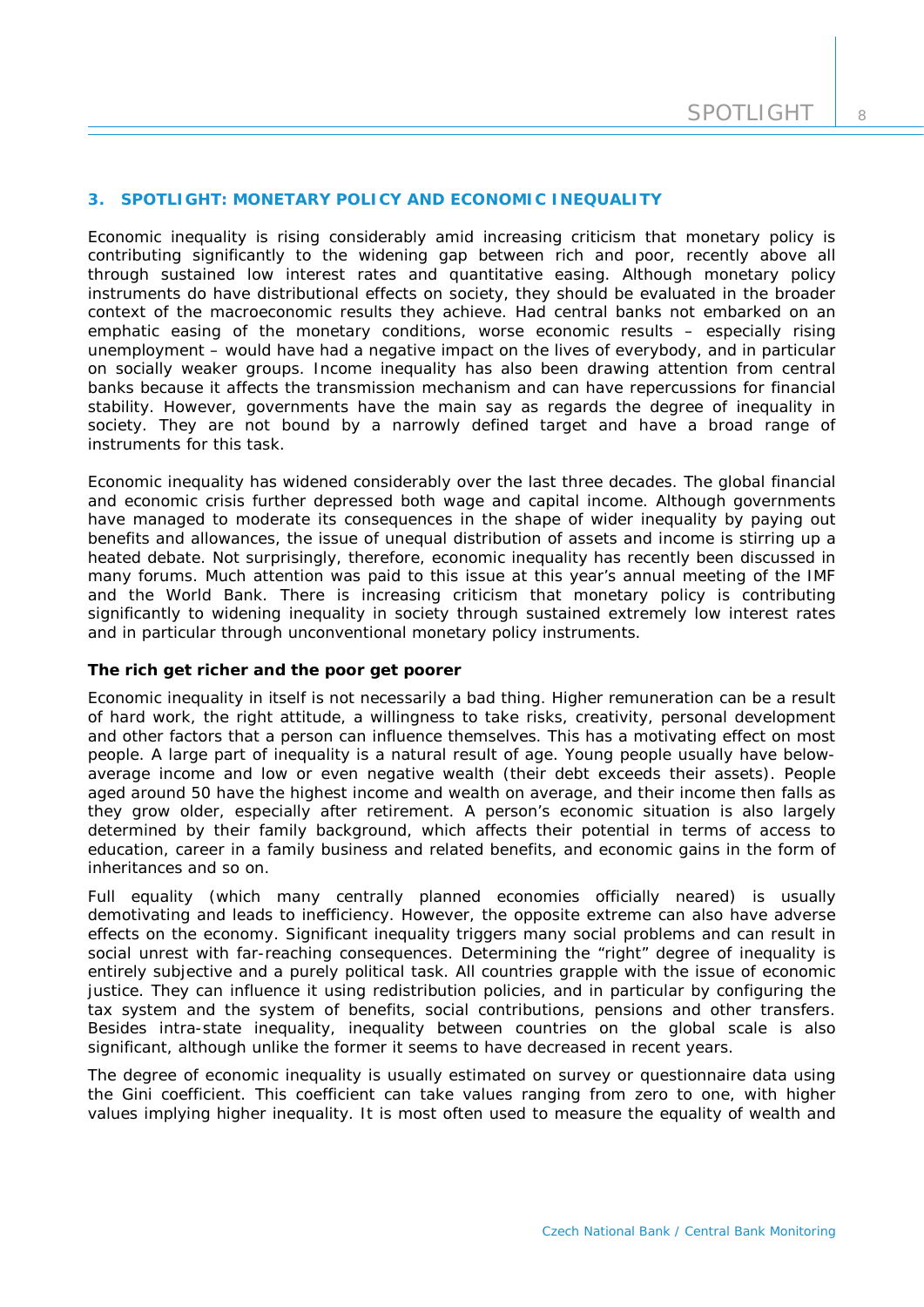## **3. SPOTLIGHT: MONETARY POLICY AND ECONOMIC INEQUALITY**

*Economic inequality is rising considerably amid increasing criticism that monetary policy is contributing significantly to the widening gap between rich and poor, recently above all through sustained low interest rates and quantitative easing. Although monetary policy instruments do have distributional effects on society, they should be evaluated in the broader context of the macroeconomic results they achieve. Had central banks not embarked on an emphatic easing of the monetary conditions, worse economic results – especially rising unemployment – would have had a negative impact on the lives of everybody, and in particular on socially weaker groups. Income inequality has also been drawing attention from central banks because it affects the transmission mechanism and can have repercussions for financial stability. However, governments have the main say as regards the degree of inequality in society. They are not bound by a narrowly defined target and have a broad range of instruments for this task.*

Economic inequality has widened considerably over the last three decades. The global financial and economic crisis further depressed both wage and capital income. Although governments have managed to moderate its consequences in the shape of wider inequality by paying out benefits and allowances, the issue of unequal distribution of assets and income is stirring up a heated debate. Not surprisingly, therefore, economic inequality has recently been discussed in many forums. Much attention was paid to this issue at this year's annual meeting of the IMF and the World Bank. There is increasing criticism that monetary policy is contributing significantly to widening inequality in society through sustained extremely low interest rates and in particular through unconventional monetary policy instruments.

## *The rich get richer and the poor get poorer*

Economic inequality in itself is not necessarily a bad thing. Higher remuneration can be a result of hard work, the right attitude, a willingness to take risks, creativity, personal development and other factors that a person can influence themselves. This has a motivating effect on most people. A large part of inequality is a natural result of age. Young people usually have belowaverage income and low or even negative wealth (their debt exceeds their assets). People aged around 50 have the highest income and wealth on average, and their income then falls as they grow older, especially after retirement. A person's economic situation is also largely determined by their family background, which affects their potential in terms of access to education, career in a family business and related benefits, and economic gains in the form of inheritances and so on.

Full equality (which many centrally planned economies officially neared) is usually demotivating and leads to inefficiency. However, the opposite extreme can also have adverse effects on the economy. Significant inequality triggers many social problems and can result in social unrest with far-reaching consequences. Determining the "right" degree of inequality is entirely subjective and a purely political task. All countries grapple with the issue of economic justice. They can influence it using redistribution policies, and in particular by configuring the tax system and the system of benefits, social contributions, pensions and other transfers. Besides intra-state inequality, inequality between countries on the global scale is also significant, although unlike the former it seems to have decreased in recent years.

The degree of economic inequality is usually estimated on survey or questionnaire data using the Gini coefficient. This coefficient can take values ranging from zero to one, with higher values implying higher inequality. It is most often used to measure the equality of wealth and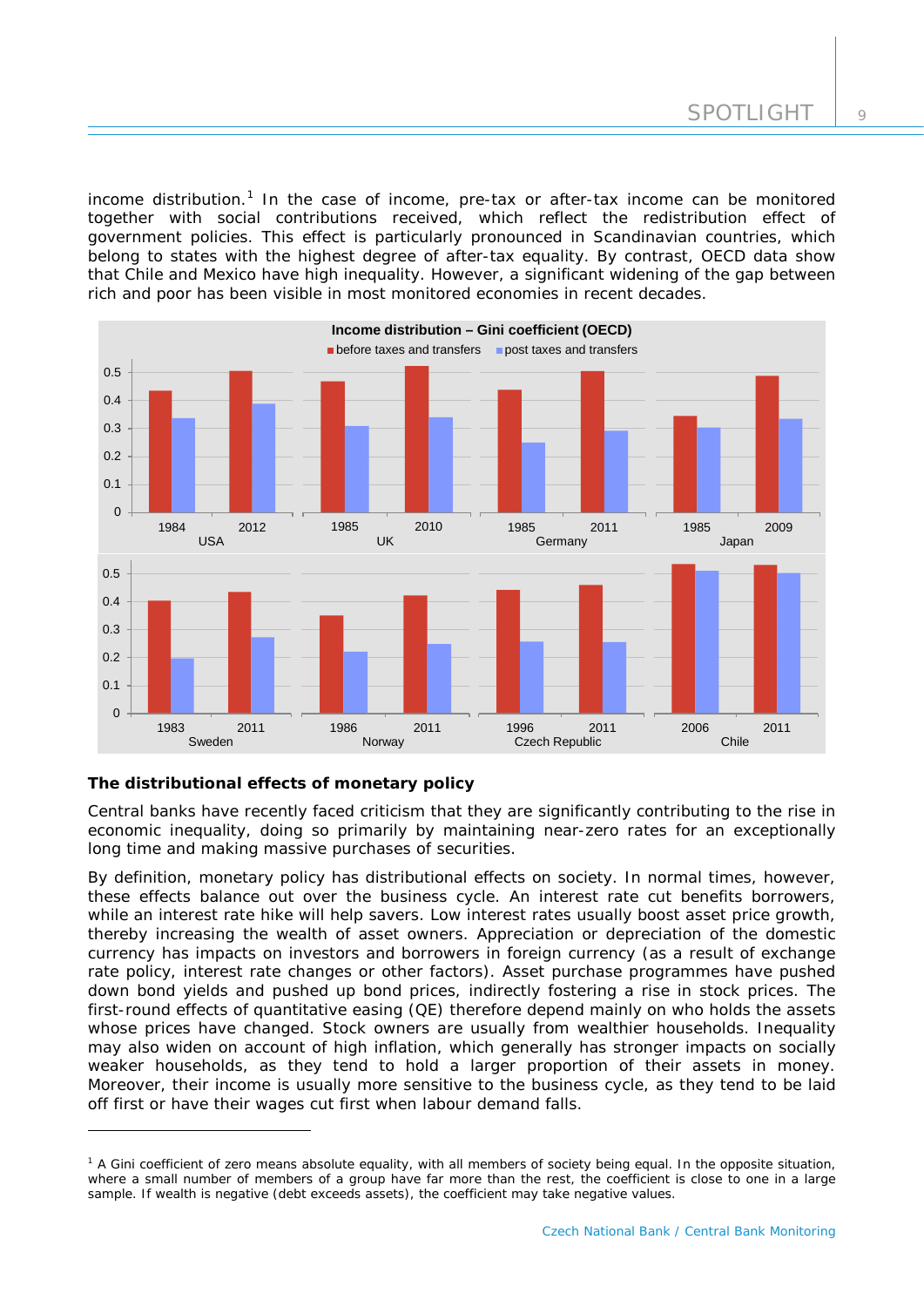income distribution.<sup>[1](#page-9-0)</sup> In the case of income, pre-tax or after-tax income can be monitored together with social contributions received, which reflect the redistribution effect of government policies. This effect is particularly pronounced in Scandinavian countries, which belong to states with the highest degree of after-tax equality. By contrast, OECD data show that Chile and Mexico have high inequality. However, a significant widening of the gap between rich and poor has been visible in most monitored economies in recent decades.



# *The distributional effects of monetary policy*

-

Central banks have recently faced criticism that they are significantly contributing to the rise in economic inequality, doing so primarily by maintaining near-zero rates for an exceptionally long time and making massive purchases of securities.

By definition, monetary policy has distributional effects on society. In normal times, however, these effects balance out over the business cycle. An interest rate cut benefits borrowers, while an interest rate hike will help savers. Low interest rates usually boost asset price growth, thereby increasing the wealth of asset owners. Appreciation or depreciation of the domestic currency has impacts on investors and borrowers in foreign currency (as a result of exchange rate policy, interest rate changes or other factors). Asset purchase programmes have pushed down bond yields and pushed up bond prices, indirectly fostering a rise in stock prices. The first-round effects of quantitative easing (QE) therefore depend mainly on who holds the assets whose prices have changed. Stock owners are usually from wealthier households. Inequality may also widen on account of high inflation, which generally has stronger impacts on socially weaker households, as they tend to hold a larger proportion of their assets in money. Moreover, their income is usually more sensitive to the business cycle, as they tend to be laid off first or have their wages cut first when labour demand falls.

<span id="page-9-0"></span><sup>&</sup>lt;sup>1</sup> A Gini coefficient of zero means absolute equality, with all members of society being equal. In the opposite situation, where a small number of members of a group have far more than the rest, the coefficient is close to one in a large sample. If wealth is negative (debt exceeds assets), the coefficient may take negative values.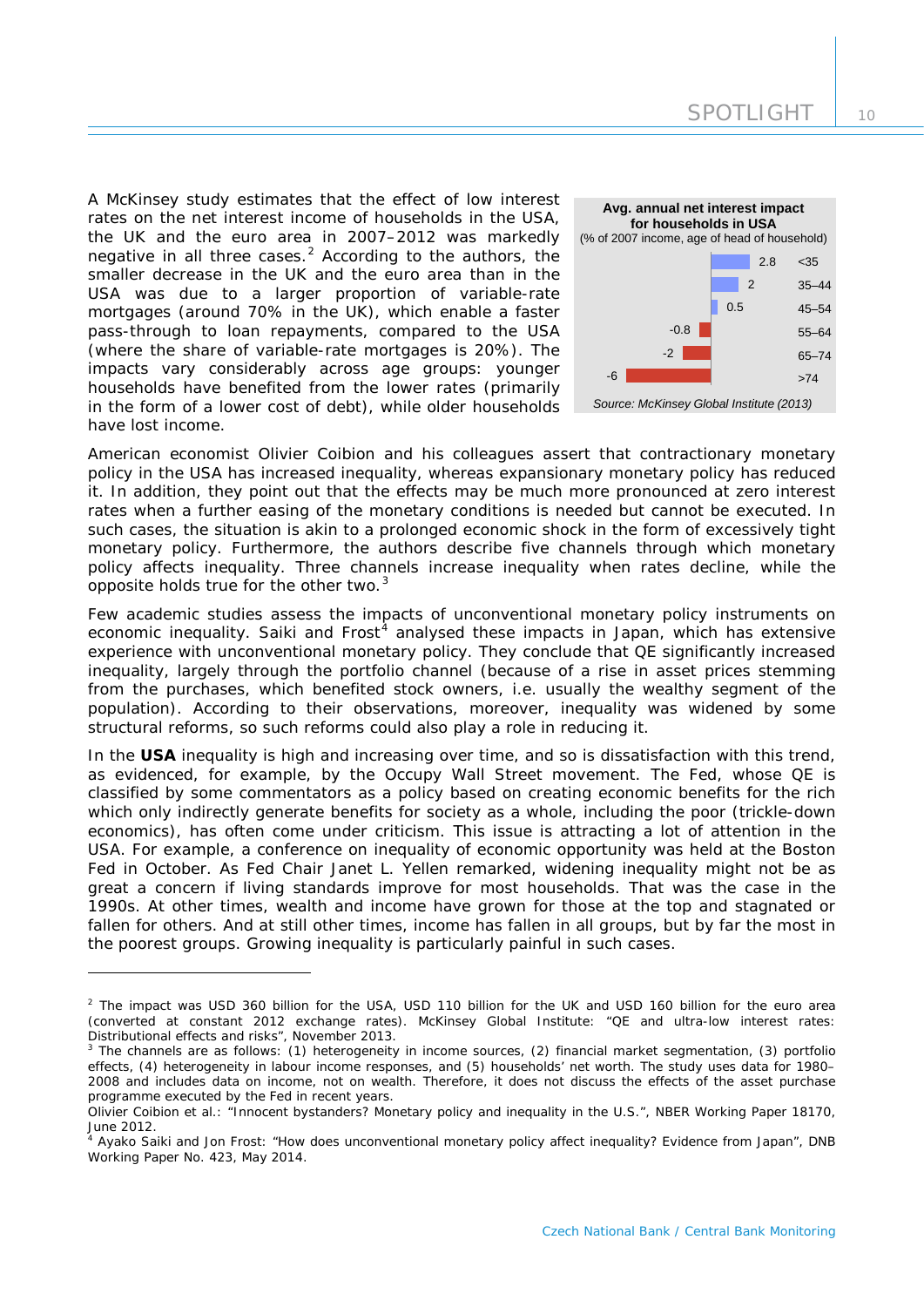A McKinsey study estimates that the effect of low interest rates on the net interest income of households in the USA, the UK and the euro area in 2007–2012 was markedly negative in all three cases.<sup>[2](#page-10-0)</sup> According to the authors, the smaller decrease in the UK and the euro area than in the USA was due to a larger proportion of variable-rate mortgages (around 70% in the UK), which enable a faster pass-through to loan repayments, compared to the USA (where the share of variable-rate mortgages is 20%). The impacts vary considerably across age groups: younger households have benefited from the lower rates (primarily in the form of a lower cost of debt), while older households have lost income.

-



American economist Olivier Coibion and his colleagues assert that contractionary monetary policy in the USA has increased inequality, whereas expansionary monetary policy has reduced it. In addition, they point out that the effects may be much more pronounced at zero interest rates when a further easing of the monetary conditions is needed but cannot be executed. In such cases, the situation is akin to a prolonged economic shock in the form of excessively tight monetary policy. Furthermore, the authors describe five channels through which monetary policy affects inequality. Three channels increase inequality when rates decline, while the opposite holds true for the other two.<sup>[3](#page-10-1)</sup>

Few academic studies assess the impacts of unconventional monetary policy instruments on economic inequality. Saiki and  $Frost<sup>4</sup>$  $Frost<sup>4</sup>$  $Frost<sup>4</sup>$  analysed these impacts in Japan, which has extensive experience with unconventional monetary policy. They conclude that QE significantly increased inequality, largely through the portfolio channel (because of a rise in asset prices stemming from the purchases, which benefited stock owners, i.e. usually the wealthy segment of the population). According to their observations, moreover, inequality was widened by some structural reforms, so such reforms could also play a role in reducing it.

In the **USA** inequality is high and increasing over time, and so is dissatisfaction with this trend, as evidenced, for example, by the Occupy Wall Street movement. The Fed, whose QE is classified by some commentators as a policy based on creating economic benefits for the rich which only indirectly generate benefits for society as a whole, including the poor (trickle-down economics), has often come under criticism. This issue is attracting a lot of attention in the USA. For example, a conference on inequality of economic opportunity was held at the Boston Fed in October. As Fed Chair Janet L. Yellen remarked, widening inequality might not be as great a concern if living standards improve for most households. That was the case in the 1990s. At other times, wealth and income have grown for those at the top and stagnated or fallen for others. And at still other times, income has fallen in all groups, but by far the most in the poorest groups. Growing inequality is particularly painful in such cases.

<span id="page-10-0"></span> $2$  The impact was USD 360 billion for the USA, USD 110 billion for the UK and USD 160 billion for the euro area (converted at constant 2012 exchange rates). McKinsey Global Institute: "QE and ultra-low interest rates: Distributional effects and risks", November 2013.

<span id="page-10-1"></span><sup>&</sup>lt;sup>3</sup> The channels are as follows: (1) heterogeneity in income sources, (2) financial market segmentation, (3) portfolio effects, (4) heterogeneity in labour income responses, and (5) households' net worth. The study uses data for 1980– 2008 and includes data on income, not on wealth. Therefore, it does not discuss the effects of the asset purchase programme executed by the Fed in recent years.

Olivier Coibion et al.: "Innocent bystanders? Monetary policy and inequality in the U.S.", NBER Working Paper 18170, June 2012.

<span id="page-10-2"></span><sup>4</sup> Ayako Saiki and Jon Frost: "How does unconventional monetary policy affect inequality? Evidence from Japan", DNB Working Paper No. 423, May 2014.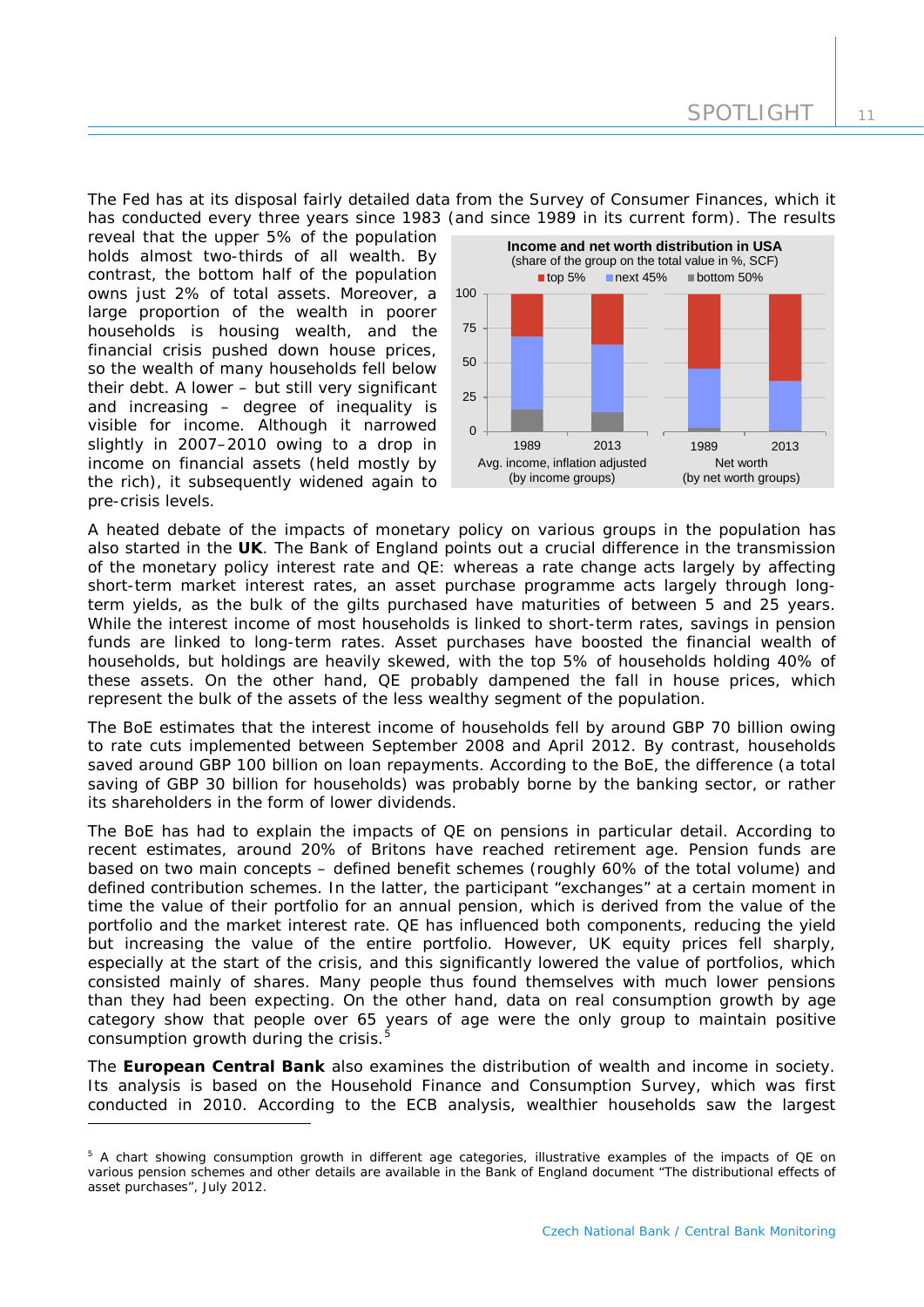The Fed has at its disposal fairly detailed data from the Survey of Consumer Finances, which it has conducted every three years since 1983 (and since 1989 in its current form). The results

reveal that the upper 5% of the population holds almost two-thirds of all wealth. By contrast, the bottom half of the population owns just 2% of total assets. Moreover, a large proportion of the wealth in poorer households is housing wealth, and the financial crisis pushed down house prices, so the wealth of many households fell below their debt. A lower – but still very significant and increasing – degree of inequality is visible for income. Although it narrowed slightly in 2007–2010 owing to a drop in income on financial assets (held mostly by the rich), it subsequently widened again to pre-crisis levels.

-



A heated debate of the impacts of monetary policy on various groups in the population has also started in the **UK**. The Bank of England points out a crucial difference in the transmission of the monetary policy interest rate and QE: whereas a rate change acts largely by affecting short-term market interest rates, an asset purchase programme acts largely through longterm yields, as the bulk of the gilts purchased have maturities of between 5 and 25 years. While the interest income of most households is linked to short-term rates, savings in pension funds are linked to long-term rates. Asset purchases have boosted the financial wealth of households, but holdings are heavily skewed, with the top 5% of households holding 40% of these assets. On the other hand, QE probably dampened the fall in house prices, which represent the bulk of the assets of the less wealthy segment of the population.

The BoE estimates that the interest income of households fell by around GBP 70 billion owing to rate cuts implemented between September 2008 and April 2012. By contrast, households saved around GBP 100 billion on loan repayments. According to the BoE, the difference (a total saving of GBP 30 billion for households) was probably borne by the banking sector, or rather its shareholders in the form of lower dividends.

The BoE has had to explain the impacts of QE on pensions in particular detail. According to recent estimates, around 20% of Britons have reached retirement age. Pension funds are based on two main concepts – defined benefit schemes (roughly 60% of the total volume) and defined contribution schemes. In the latter, the participant "exchanges" at a certain moment in time the value of their portfolio for an annual pension, which is derived from the value of the portfolio and the market interest rate. QE has influenced both components, reducing the yield but increasing the value of the entire portfolio. However, UK equity prices fell sharply, especially at the start of the crisis, and this significantly lowered the value of portfolios, which consisted mainly of shares. Many people thus found themselves with much lower pensions than they had been expecting. On the other hand, data on real consumption growth by age category show that people over 65 years of age were the only group to maintain positive consumption growth during the crisis.<sup>[5](#page-11-0)</sup>

The **European Central Bank** also examines the distribution of wealth and income in society. Its analysis is based on the Household Finance and Consumption Survey, which was first conducted in 2010. According to the ECB analysis, wealthier households saw the largest

<span id="page-11-0"></span><sup>&</sup>lt;sup>5</sup> A chart showing consumption growth in different age categories, illustrative examples of the impacts of QE on various pension schemes and other details are available in the Bank of England document "The distributional effects of asset purchases", July 2012.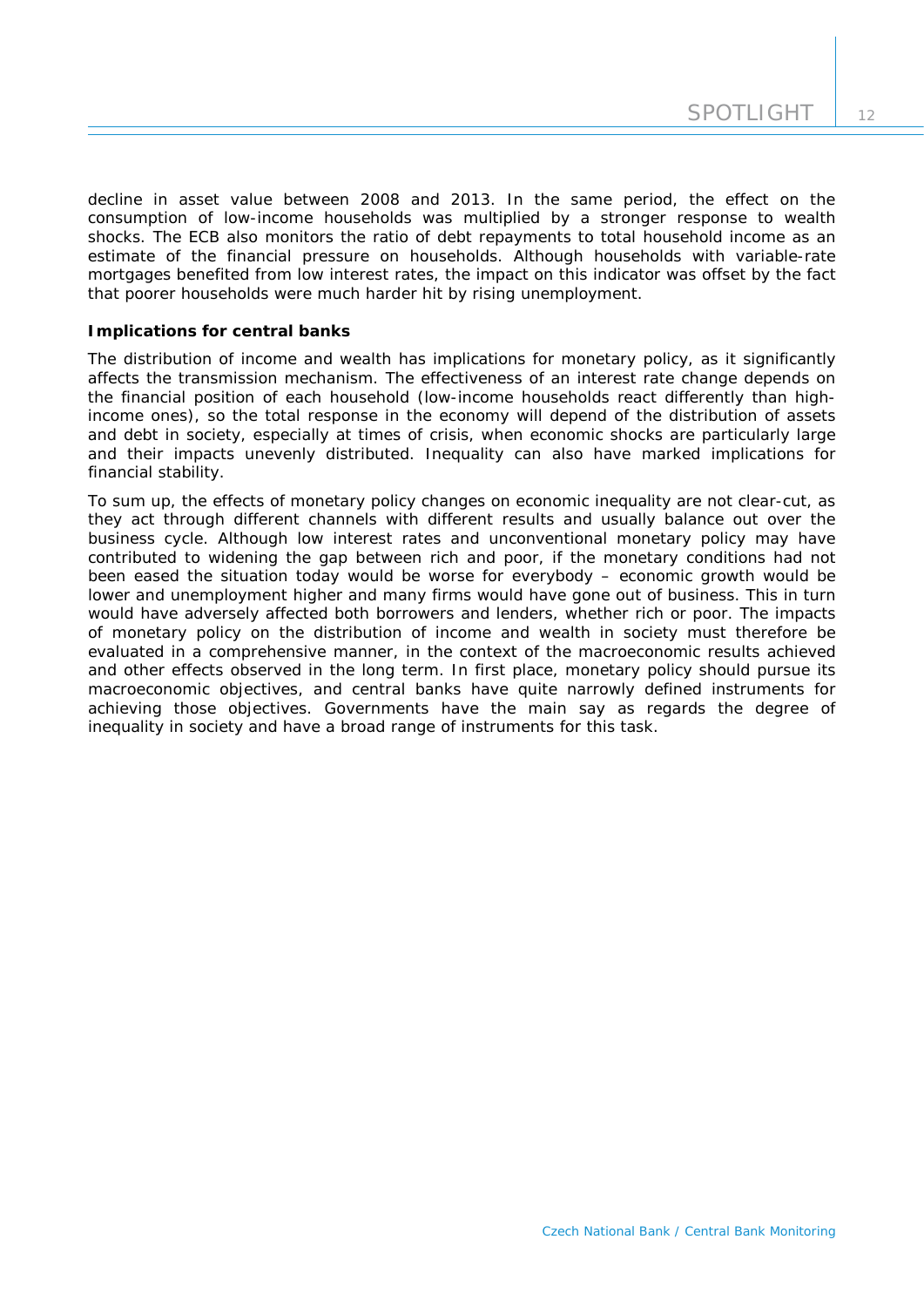decline in asset value between 2008 and 2013. In the same period, the effect on the consumption of low-income households was multiplied by a stronger response to wealth shocks. The ECB also monitors the ratio of debt repayments to total household income as an estimate of the financial pressure on households. Although households with variable-rate mortgages benefited from low interest rates, the impact on this indicator was offset by the fact that poorer households were much harder hit by rising unemployment.

# *Implications for central banks*

The distribution of income and wealth has implications for monetary policy, as it significantly affects the transmission mechanism. The effectiveness of an interest rate change depends on the financial position of each household (low-income households react differently than highincome ones), so the total response in the economy will depend of the distribution of assets and debt in society, especially at times of crisis, when economic shocks are particularly large and their impacts unevenly distributed. Inequality can also have marked implications for financial stability.

To sum up, the effects of monetary policy changes on economic inequality are not clear-cut, as they act through different channels with different results and usually balance out over the business cycle. Although low interest rates and unconventional monetary policy may have contributed to widening the gap between rich and poor, if the monetary conditions had not been eased the situation today would be worse for everybody – economic growth would be lower and unemployment higher and many firms would have gone out of business. This in turn would have adversely affected both borrowers and lenders, whether rich or poor. The impacts of monetary policy on the distribution of income and wealth in society must therefore be evaluated in a comprehensive manner, in the context of the macroeconomic results achieved and other effects observed in the long term. In first place, monetary policy should pursue its macroeconomic objectives, and central banks have quite narrowly defined instruments for achieving those objectives. Governments have the main say as regards the degree of inequality in society and have a broad range of instruments for this task.